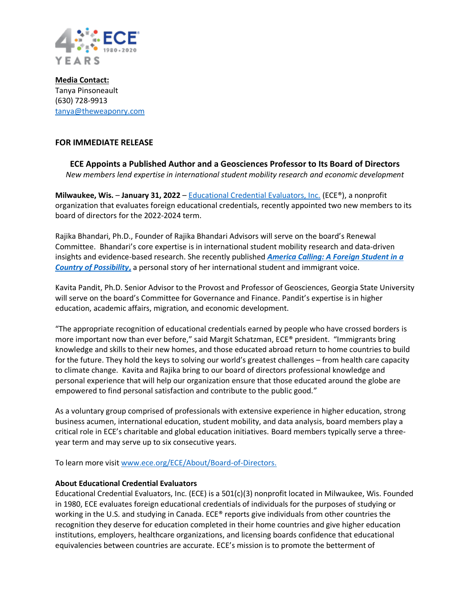

**Media Contact:** Tanya Pinsoneault (630) 728-9913 [tanya@theweaponry.com](about:blank)

## **FOR IMMEDIATE RELEASE**

**ECE Appoints a Published Author and a Geosciences Professor to Its Board of Directors** *New members lend expertise in international student mobility research and economic development* 

**Milwaukee, Wis.** – **January 31, 2022** – [Educational Credential Evaluators, Inc.](about:blank) (ECE®), a nonprofit organization that evaluates foreign educational credentials, recently appointed two new members to its board of directors for the 2022-2024 term.

Rajika Bhandari, Ph.D., Founder of Rajika Bhandari Advisors will serve on the board's Renewal Committee. Bhandari's core expertise is in international student mobility research and data-driven insights and evidence-based research. She recently published *[America Calling: A Foreign Student in a](about:blank)  [Country of Possibility](about:blank)***,** a personal story of her international student and immigrant voice.

Kavita Pandit, Ph.D. Senior Advisor to the Provost and Professor of Geosciences, Georgia State University will serve on the board's Committee for Governance and Finance. Pandit's expertise is in higher education, academic affairs, migration, and economic development.

"The appropriate recognition of educational credentials earned by people who have crossed borders is more important now than ever before," said Margit Schatzman, ECE® president. "Immigrants bring knowledge and skills to their new homes, and those educated abroad return to home countries to build for the future. They hold the keys to solving our world's greatest challenges – from health care capacity to climate change. Kavita and Rajika bring to our board of directors professional knowledge and personal experience that will help our organization ensure that those educated around the globe are empowered to find personal satisfaction and contribute to the public good."

As a voluntary group comprised of professionals with extensive experience in higher education, strong business acumen, international education, student mobility, and data analysis, board members play a critical role in ECE's charitable and global education initiatives. Board members typically serve a threeyear term and may serve up to six consecutive years.

To learn more visit [www.ece.org/ECE/About/Board-of-Directors.](about:blank)

## **About Educational Credential Evaluators**

Educational Credential Evaluators, Inc. (ECE) is a 501(c)(3) nonprofit located in Milwaukee, Wis. Founded in 1980, ECE evaluates foreign educational credentials of individuals for the purposes of studying or working in the U.S. and studying in Canada. ECE® reports give individuals from other countries the recognition they deserve for education completed in their home countries and give higher education institutions, employers, healthcare organizations, and licensing boards confidence that educational equivalencies between countries are accurate. ECE's mission is to promote the betterment of